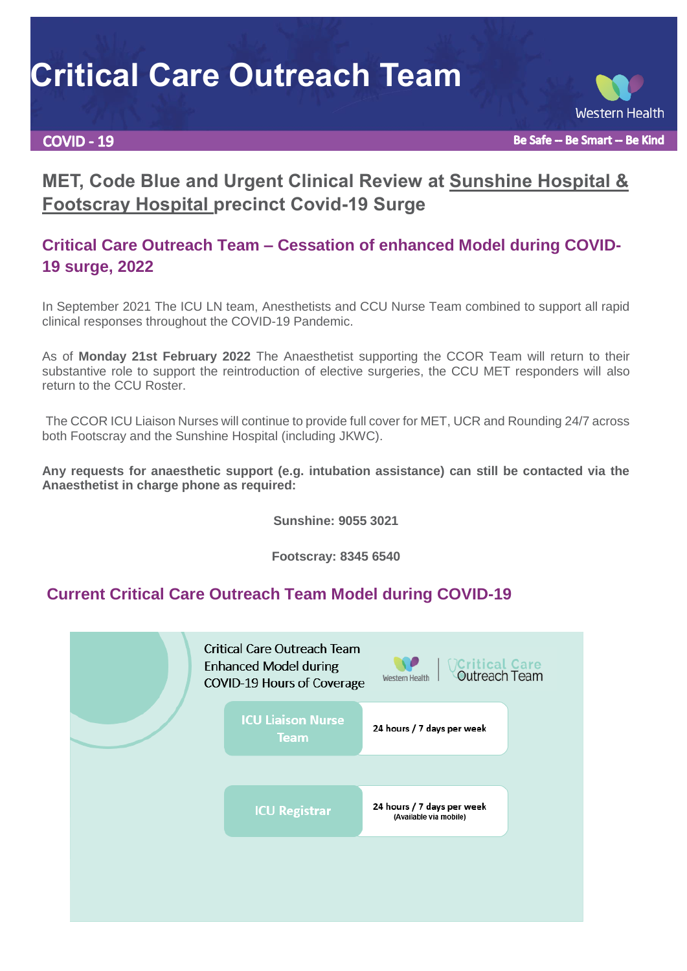# **Critical Care Outreach Team**

#### **COVID - 19**

**Western Health** 

Be Safe -- Be Smart -- Be Kind

## **MET, Code Blue and Urgent Clinical Review at Sunshine Hospital & Footscray Hospital precinct Covid-19 Surge**

### **Critical Care Outreach Team – Cessation of enhanced Model during COVID-19 surge, 2022**

In September 2021 The ICU LN team, Anesthetists and CCU Nurse Team combined to support all rapid clinical responses throughout the COVID-19 Pandemic.

As of **Monday 21st February 2022** The Anaesthetist supporting the CCOR Team will return to their substantive role to support the reintroduction of elective surgeries, the CCU MET responders will also return to the CCU Roster.

The CCOR ICU Liaison Nurses will continue to provide full cover for MET, UCR and Rounding 24/7 across both Footscray and the Sunshine Hospital (including JKWC).

**Any requests for anaesthetic support (e.g. intubation assistance) can still be contacted via the Anaesthetist in charge phone as required:**

**Sunshine: 9055 3021**

**Footscray: 8345 6540**

#### **Current Critical Care Outreach Team Model during COVID-19**

| <b>ICU Liaison Nurse</b><br>24 hours / 7 days per week<br><b>Team</b><br>24 hours / 7 days per week<br><b>ICU Registrar</b><br>(Available via mobile) |  | <b>Critical Care Outreach Team</b><br><b>Enhanced Model during</b><br>COVID-19 Hours of Coverage | <b>Critical Care</b><br>Outreach Team<br>Western Health |
|-------------------------------------------------------------------------------------------------------------------------------------------------------|--|--------------------------------------------------------------------------------------------------|---------------------------------------------------------|
|                                                                                                                                                       |  |                                                                                                  |                                                         |
|                                                                                                                                                       |  |                                                                                                  |                                                         |
|                                                                                                                                                       |  |                                                                                                  |                                                         |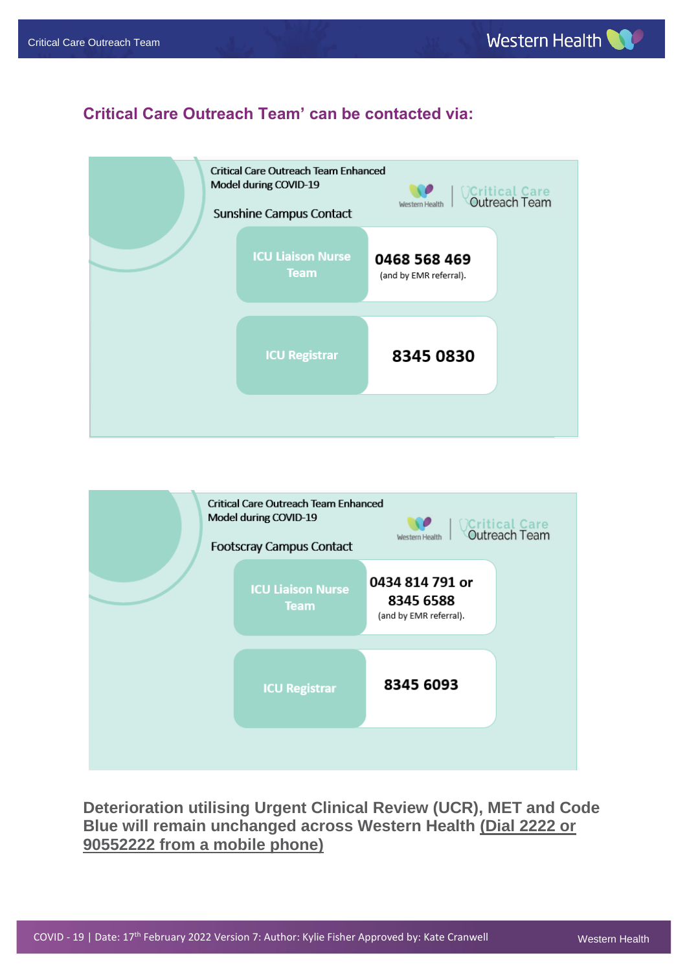#### **Critical Care Outreach Team' can be contacted via:**





**Deterioration utilising Urgent Clinical Review (UCR), MET and Code Blue will remain unchanged across Western Health (Dial 2222 or 90552222 from a mobile phone)**